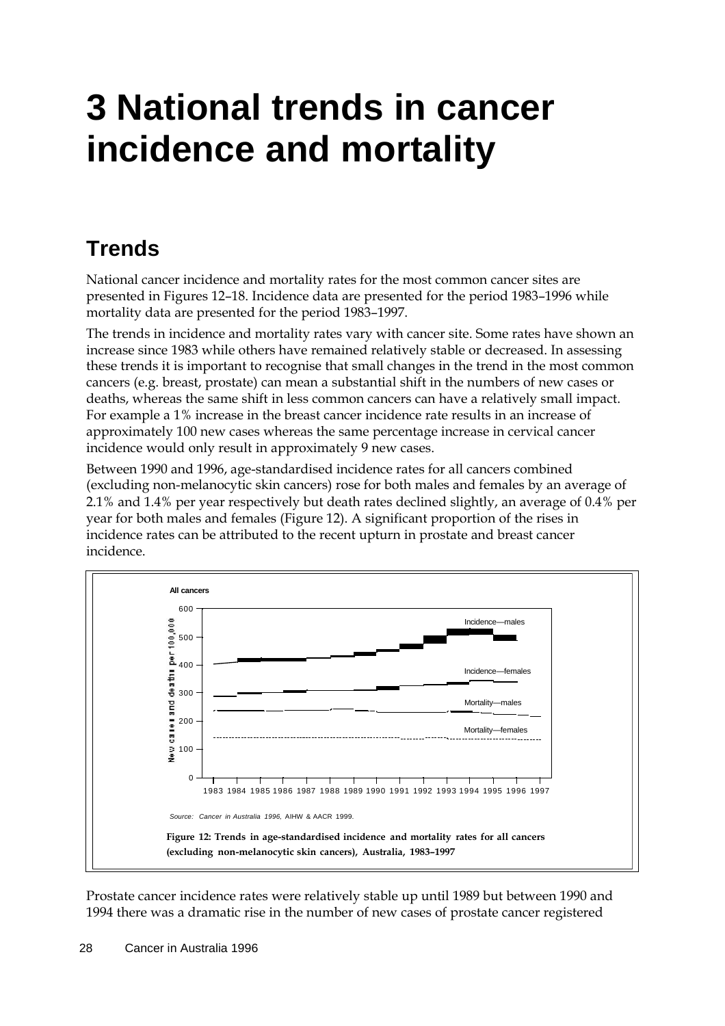# **3 National trends in cancer incidence and mortality**

# **Trends**

National cancer incidence and mortality rates for the most common cancer sites are presented in Figures 12–18. Incidence data are presented for the period 1983–1996 while mortality data are presented for the period 1983–1997.

The trends in incidence and mortality rates vary with cancer site. Some rates have shown an increase since 1983 while others have remained relatively stable or decreased. In assessing these trends it is important to recognise that small changes in the trend in the most common cancers (e.g. breast, prostate) can mean a substantial shift in the numbers of new cases or deaths, whereas the same shift in less common cancers can have a relatively small impact. For example a 1% increase in the breast cancer incidence rate results in an increase of approximately 100 new cases whereas the same percentage increase in cervical cancer incidence would only result in approximately 9 new cases.

Between 1990 and 1996, age-standardised incidence rates for all cancers combined (excluding non-melanocytic skin cancers) rose for both males and females by an average of 2.1% and 1.4% per year respectively but death rates declined slightly, an average of 0.4% per year for both males and females (Figure 12). A significant proportion of the rises in incidence rates can be attributed to the recent upturn in prostate and breast cancer incidence.



Prostate cancer incidence rates were relatively stable up until 1989 but between 1990 and 1994 there was a dramatic rise in the number of new cases of prostate cancer registered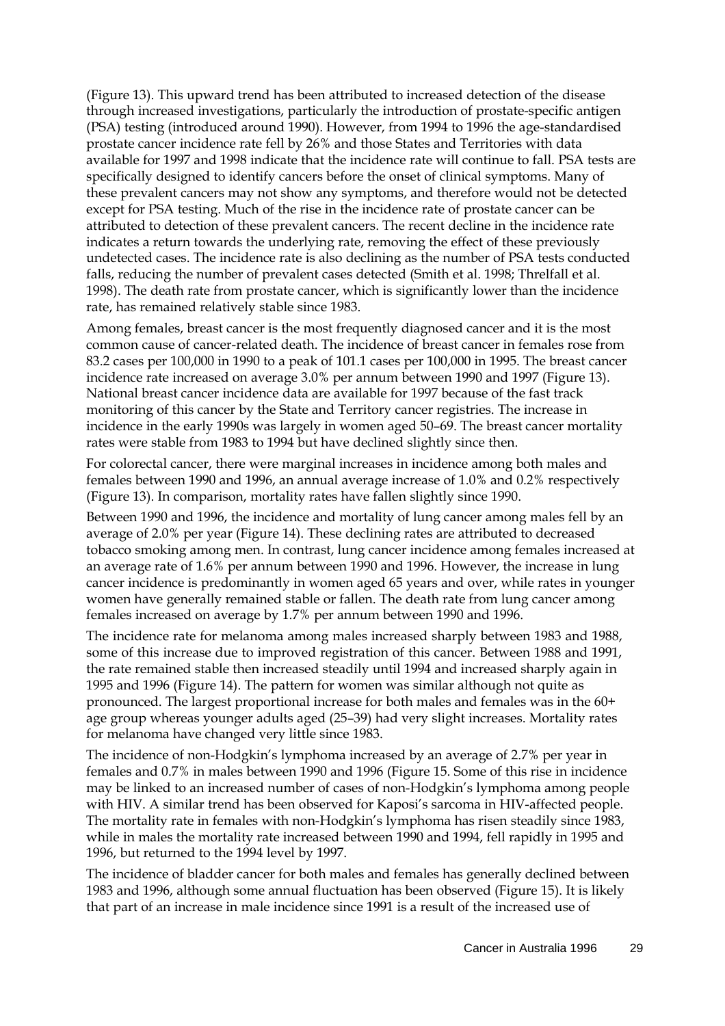(Figure 13). This upward trend has been attributed to increased detection of the disease through increased investigations, particularly the introduction of prostate-specific antigen (PSA) testing (introduced around 1990). However, from 1994 to 1996 the age-standardised prostate cancer incidence rate fell by 26% and those States and Territories with data available for 1997 and 1998 indicate that the incidence rate will continue to fall. PSA tests are specifically designed to identify cancers before the onset of clinical symptoms. Many of these prevalent cancers may not show any symptoms, and therefore would not be detected except for PSA testing. Much of the rise in the incidence rate of prostate cancer can be attributed to detection of these prevalent cancers. The recent decline in the incidence rate indicates a return towards the underlying rate, removing the effect of these previously undetected cases. The incidence rate is also declining as the number of PSA tests conducted falls, reducing the number of prevalent cases detected (Smith et al. 1998; Threlfall et al. 1998). The death rate from prostate cancer, which is significantly lower than the incidence rate, has remained relatively stable since 1983.

Among females, breast cancer is the most frequently diagnosed cancer and it is the most common cause of cancer-related death. The incidence of breast cancer in females rose from 83.2 cases per 100,000 in 1990 to a peak of 101.1 cases per 100,000 in 1995. The breast cancer incidence rate increased on average 3.0% per annum between 1990 and 1997 (Figure 13). National breast cancer incidence data are available for 1997 because of the fast track monitoring of this cancer by the State and Territory cancer registries. The increase in incidence in the early 1990s was largely in women aged 50–69. The breast cancer mortality rates were stable from 1983 to 1994 but have declined slightly since then.

For colorectal cancer, there were marginal increases in incidence among both males and females between 1990 and 1996, an annual average increase of 1.0% and 0.2% respectively (Figure 13). In comparison, mortality rates have fallen slightly since 1990.

Between 1990 and 1996, the incidence and mortality of lung cancer among males fell by an average of 2.0% per year (Figure 14). These declining rates are attributed to decreased tobacco smoking among men. In contrast, lung cancer incidence among females increased at an average rate of 1.6% per annum between 1990 and 1996. However, the increase in lung cancer incidence is predominantly in women aged 65 years and over, while rates in younger women have generally remained stable or fallen. The death rate from lung cancer among females increased on average by 1.7% per annum between 1990 and 1996.

The incidence rate for melanoma among males increased sharply between 1983 and 1988, some of this increase due to improved registration of this cancer. Between 1988 and 1991, the rate remained stable then increased steadily until 1994 and increased sharply again in 1995 and 1996 (Figure 14). The pattern for women was similar although not quite as pronounced. The largest proportional increase for both males and females was in the 60+ age group whereas younger adults aged (25–39) had very slight increases. Mortality rates for melanoma have changed very little since 1983.

The incidence of non-Hodgkin's lymphoma increased by an average of 2.7% per year in females and 0.7% in males between 1990 and 1996 (Figure 15. Some of this rise in incidence may be linked to an increased number of cases of non-Hodgkin's lymphoma among people with HIV. A similar trend has been observed for Kaposi's sarcoma in HIV-affected people. The mortality rate in females with non-Hodgkin's lymphoma has risen steadily since 1983, while in males the mortality rate increased between 1990 and 1994, fell rapidly in 1995 and 1996, but returned to the 1994 level by 1997.

The incidence of bladder cancer for both males and females has generally declined between 1983 and 1996, although some annual fluctuation has been observed (Figure 15). It is likely that part of an increase in male incidence since 1991 is a result of the increased use of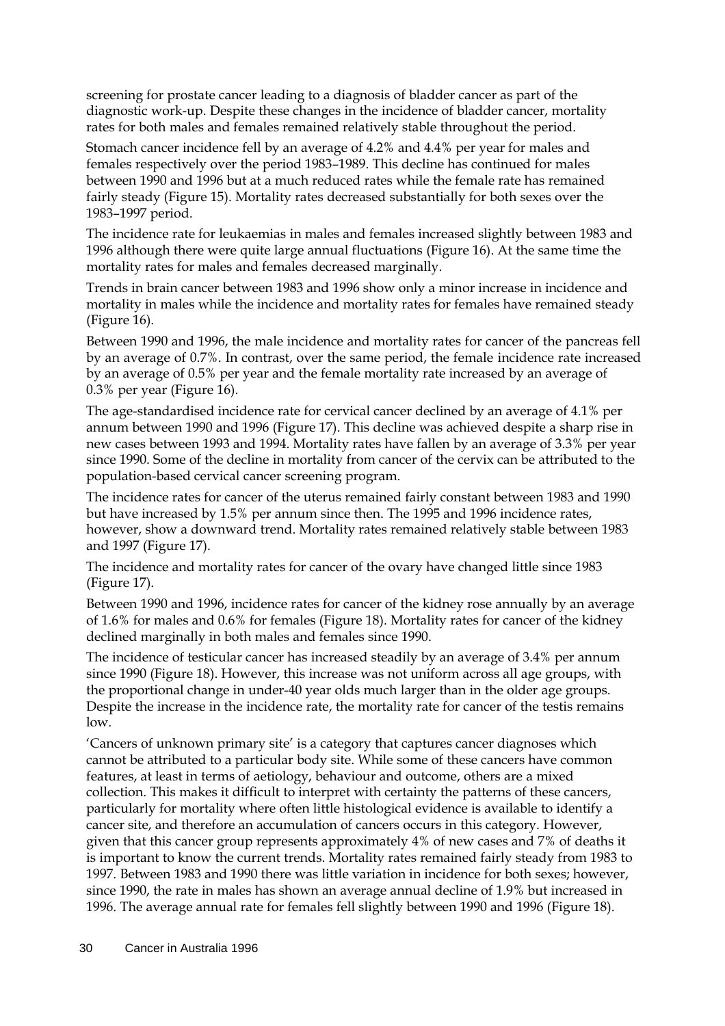screening for prostate cancer leading to a diagnosis of bladder cancer as part of the diagnostic work-up. Despite these changes in the incidence of bladder cancer, mortality rates for both males and females remained relatively stable throughout the period.

Stomach cancer incidence fell by an average of 4.2% and 4.4% per year for males and females respectively over the period 1983–1989. This decline has continued for males between 1990 and 1996 but at a much reduced rates while the female rate has remained fairly steady (Figure 15). Mortality rates decreased substantially for both sexes over the 1983–1997 period.

The incidence rate for leukaemias in males and females increased slightly between 1983 and 1996 although there were quite large annual fluctuations (Figure 16). At the same time the mortality rates for males and females decreased marginally.

Trends in brain cancer between 1983 and 1996 show only a minor increase in incidence and mortality in males while the incidence and mortality rates for females have remained steady (Figure 16).

Between 1990 and 1996, the male incidence and mortality rates for cancer of the pancreas fell by an average of 0.7%. In contrast, over the same period, the female incidence rate increased by an average of 0.5% per year and the female mortality rate increased by an average of 0.3% per year (Figure 16).

The age-standardised incidence rate for cervical cancer declined by an average of 4.1% per annum between 1990 and 1996 (Figure 17). This decline was achieved despite a sharp rise in new cases between 1993 and 1994. Mortality rates have fallen by an average of 3.3% per year since 1990. Some of the decline in mortality from cancer of the cervix can be attributed to the population-based cervical cancer screening program.

The incidence rates for cancer of the uterus remained fairly constant between 1983 and 1990 but have increased by 1.5% per annum since then. The 1995 and 1996 incidence rates, however, show a downward trend. Mortality rates remained relatively stable between 1983 and 1997 (Figure 17).

The incidence and mortality rates for cancer of the ovary have changed little since 1983 (Figure 17).

Between 1990 and 1996, incidence rates for cancer of the kidney rose annually by an average of 1.6% for males and 0.6% for females (Figure 18). Mortality rates for cancer of the kidney declined marginally in both males and females since 1990.

The incidence of testicular cancer has increased steadily by an average of 3.4% per annum since 1990 (Figure 18). However, this increase was not uniform across all age groups, with the proportional change in under-40 year olds much larger than in the older age groups. Despite the increase in the incidence rate, the mortality rate for cancer of the testis remains low.

'Cancers of unknown primary site' is a category that captures cancer diagnoses which cannot be attributed to a particular body site. While some of these cancers have common features, at least in terms of aetiology, behaviour and outcome, others are a mixed collection. This makes it difficult to interpret with certainty the patterns of these cancers, particularly for mortality where often little histological evidence is available to identify a cancer site, and therefore an accumulation of cancers occurs in this category. However, given that this cancer group represents approximately 4% of new cases and 7% of deaths it is important to know the current trends. Mortality rates remained fairly steady from 1983 to 1997. Between 1983 and 1990 there was little variation in incidence for both sexes; however, since 1990, the rate in males has shown an average annual decline of 1.9% but increased in 1996. The average annual rate for females fell slightly between 1990 and 1996 (Figure 18).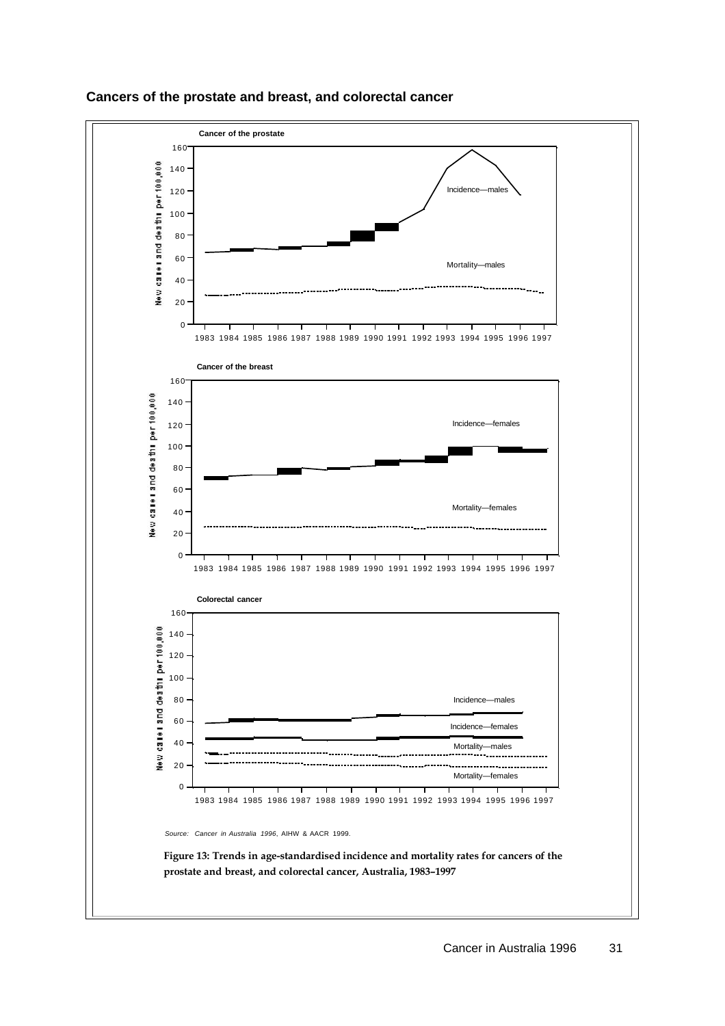

### **Cancers of the prostate and breast, and colorectal cancer**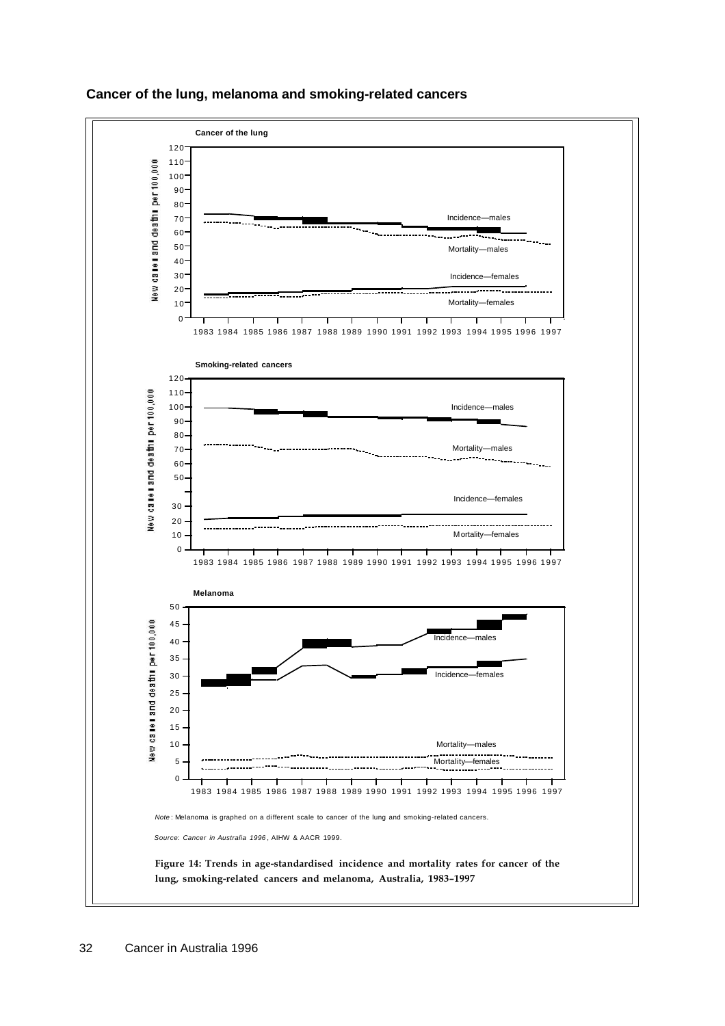

### **Cancer of the lung, melanoma and smoking-related cancers**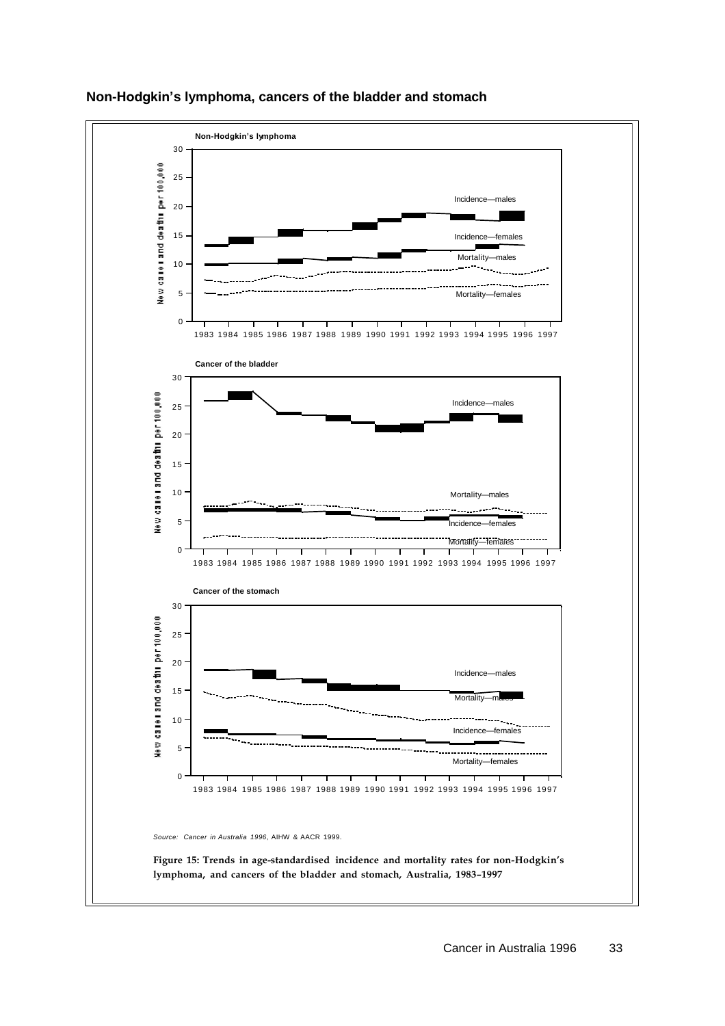

# **Non-Hodgkin's lymphoma, cancers of the bladder and stomach**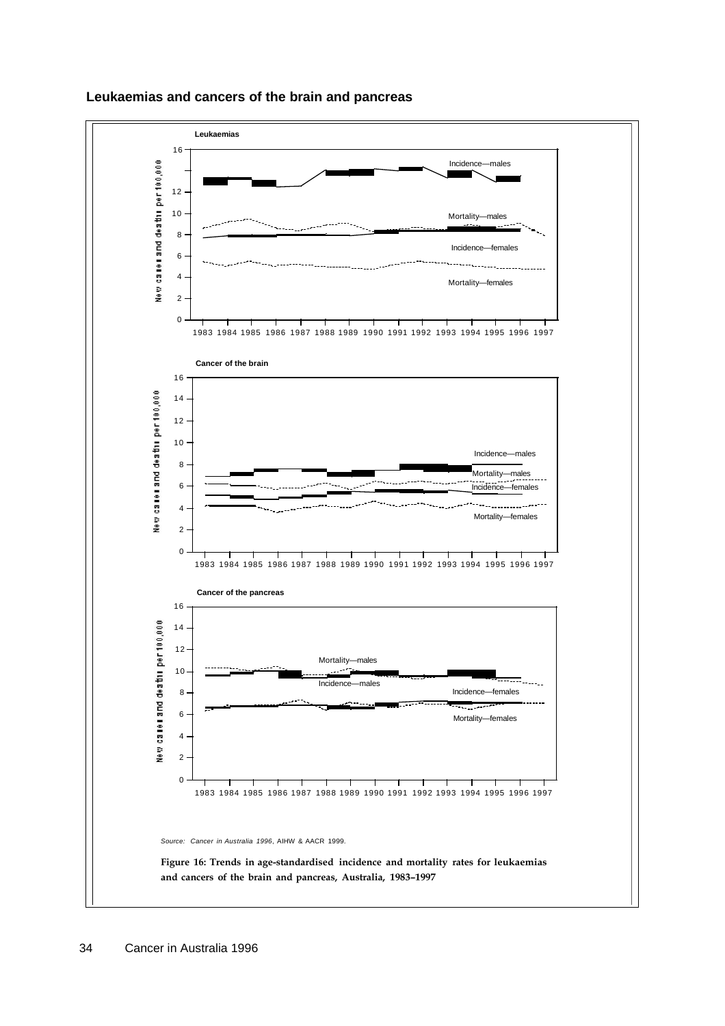

### **Leukaemias and cancers of the brain and pancreas**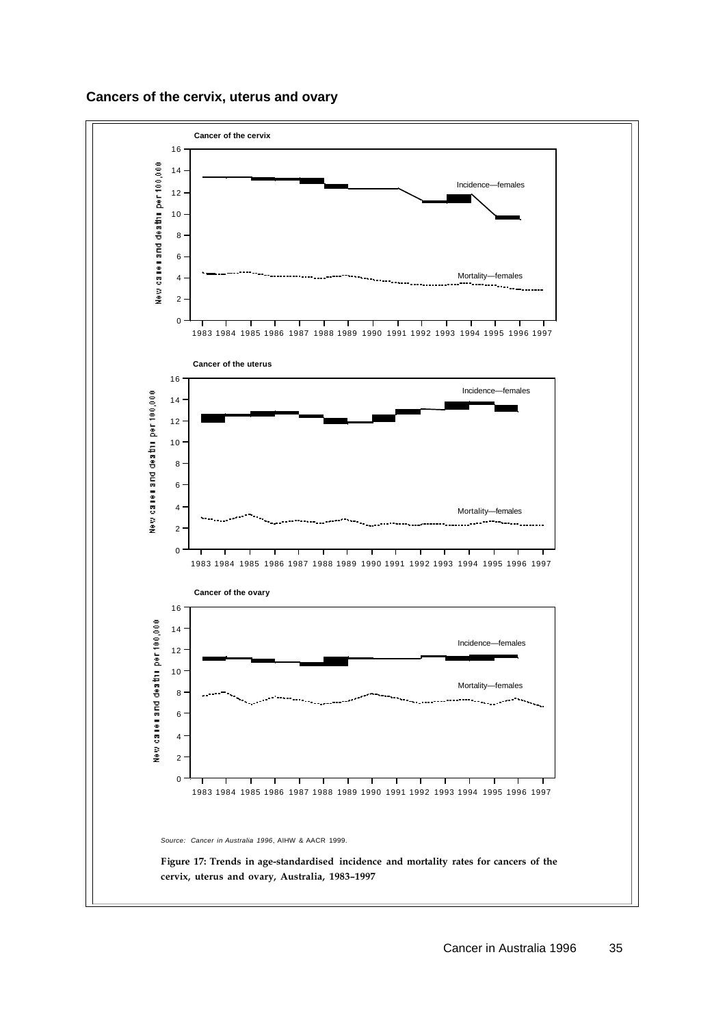# **Cancers of the cervix, uterus and ovary**